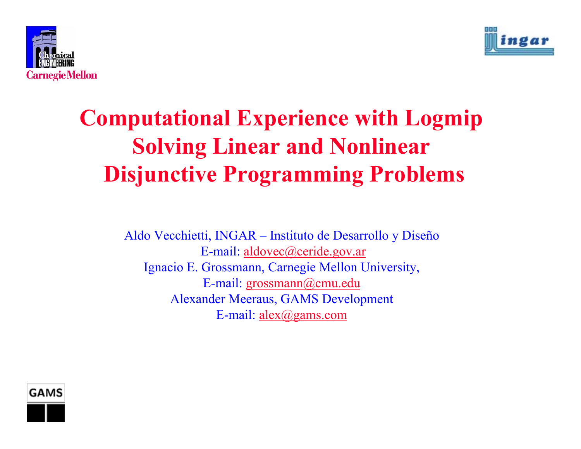



# **Computational Experience with Logmip Solving Linear and Nonlinear Disjunctive Programming Problems**

Aldo Vecchietti, INGAR – Instituto de Desarrollo y Diseño E-mail: [aldovec@ceride.gov.ar](mailto:aldovec@ceride.gov.ar) Ignacio E. Grossmann, Carnegie Mellon University, E-mail: [grossmann@cmu.edu](mailto:grossmann@cmu.edu) Alexander Meeraus, GAMS Development E-mail: [alex@gams.com](mailto:alex@gams.com)

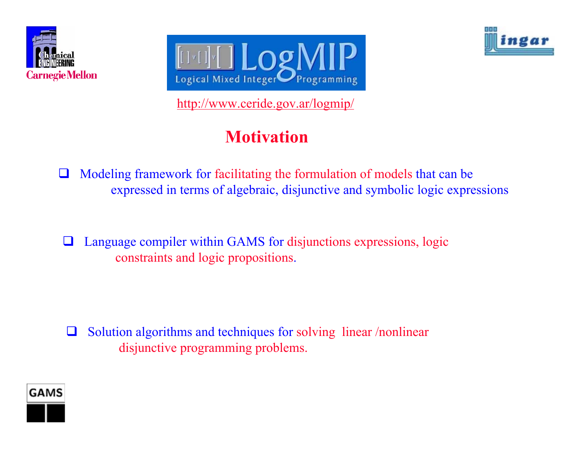





<http://www.ceride.gov.ar/logmip/>

## **Motivation**

ப Modeling framework for facilitating the formulation of models that can be expressed in terms of algebraic, disjunctive and symbolic logic expressions

 $\Box$  Language compiler within GAMS for disjunctions expressions, logic constraints and logic propositions.

 $\Box$  Solution algorithms and techniques for solving linear /nonlinear disjunctive programming problems.

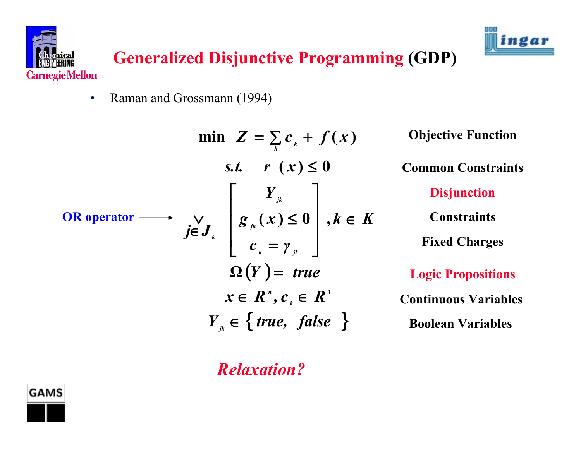



## **Generalized Disjunctive Programming (GDP)**

•Raman and Grossmann (1994)

$$
\min Z = \sum_{k} c_{k} + f(x)
$$
\nObjective Function

\n
$$
S.t. \quad r(x) \leq 0
$$
\nCommon Constraints

\n
$$
j \in J_{k}
$$
\n
$$
\begin{bmatrix}\nY_{jk} \\
g_{jk}(x) \leq 0 \\
c_{k} = \gamma_{jk}\n\end{bmatrix}, k \in K
$$
\nConstraints

\nFixed Charges

\n
$$
\Omega(Y) = true
$$
\nLogic Propositions

\n
$$
X \in R^{n}, c_{k} \in R^{1}
$$
\nContinuous Variables

\n
$$
Y_{jk} \in \{ true, false \}
$$
\nBoolean Variables

### *Relaxation?*

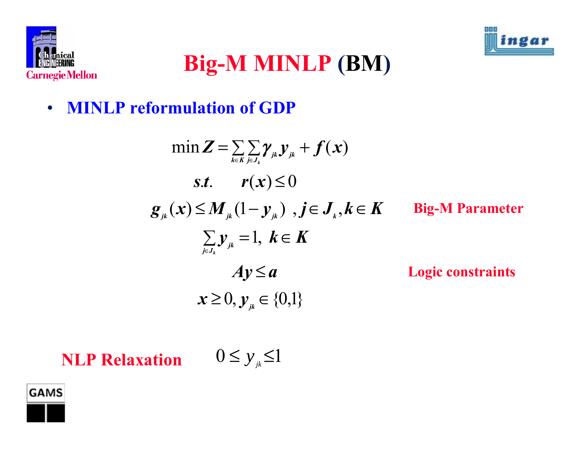



# **Big-M MINLP (BM)**

•**MINLP reformulation of GDP**

$$
\min Z = \sum_{k \in K} \sum_{j \in J_k} \gamma_{jk} y_{jk} + f(x)
$$
  
s.t.  $r(x) \le 0$   
 $g_{jk}(x) \le M_{jk}(1-y_{jk}), j \in J_k, k \in K$  Big-M Parameter  

$$
\sum_{j \in J_k} y_{jk} = 1, k \in K
$$
  
 $Ay \le a$  Logic constraints  
 $x \ge 0, y_{jk} \in \{0,1\}$ 

#### **NLP Relaxation** $0 \leq y_{ik} \leq 1$

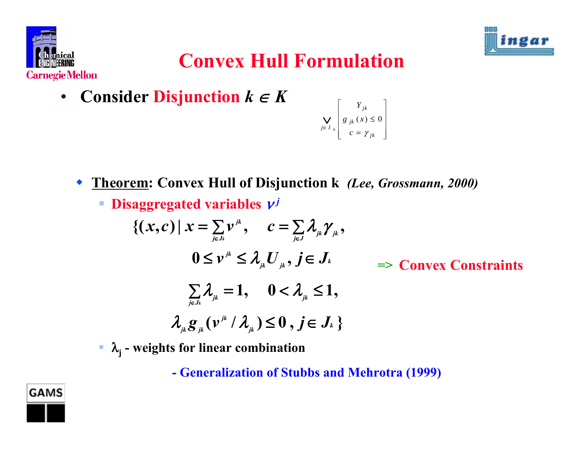



## **Convex Hull Formulation**

 $\bullet$ **Consider Disjunction** *k*  ∈ *K*

$$
\bigvee_{j \in J_k} \left[ \begin{array}{c} Y_{jk} \\ g_{jk}(x) \le 0 \\ c = \gamma_{jk} \end{array} \right]
$$

- **Theorem: Convex Hull of Disjunction k** *(Lee, Grossmann, 2000)*
	- $\overline{\mathbb{R}}$ **E** Disaggregated variables  $V^j$

$$
\{(x,c) | x = \sum_{j \in J_k} v^{jk}, \quad c = \sum_{j \in J} \lambda_{jk} \gamma_{jk},
$$
  
\n
$$
0 \le v^{jk} \le \lambda_{jk} U_{jk}, j \in J_k \implies \text{Convex Constraints}
$$
  
\n
$$
\sum_{j \in J_k} \lambda_{jk} = 1, \quad 0 < \lambda_{jk} \le 1,
$$
  
\n
$$
\lambda_{jk} g_{jk} (v^{jk} / \lambda_{jk}) \le 0, j \in J_k \}
$$

<sup>λ</sup>**<sup>j</sup> - weights for linear combination**

**- Generalization of Stubbs and Mehrotra (1999)**

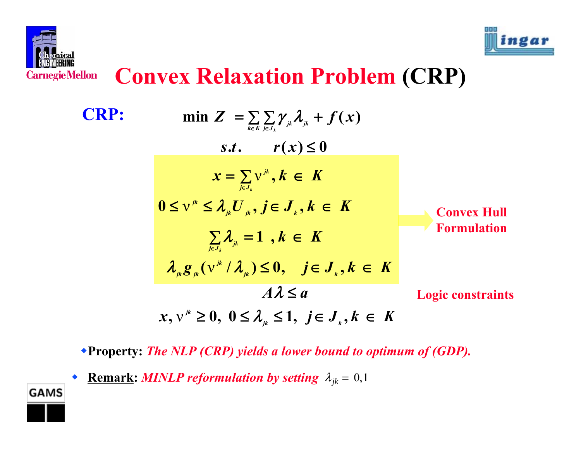



# **Convex Relaxation Problem (CRP)**

**CRP:**

$$
\min Z = \sum_{k \in K} \sum_{j \in J_k} \gamma_{jk} \lambda_{jk} + f(x)
$$
\n
$$
s.t. \quad r(x) \le 0
$$
\n
$$
x = \sum_{j \in J_k} v^{jk}, k \in K
$$
\n
$$
0 \le v^{jk} \le \lambda_{jk} U_{jk}, j \in J_k, k \in K
$$
\n
$$
\sum_{j \in J_k} \lambda_{jk} = 1, k \in K
$$
\n
$$
\lambda_{jk} g_{jk} (v^{jk} / \lambda_{jk}) \le 0, j \in J_k, k \in K
$$
\n
$$
A \lambda \le a
$$
\n
$$
x, v^{jk} \ge 0, 0 \le \lambda_{jk} \le 1, j \in J_k, k \in K
$$

**Property:** *The NLP (CRP) yields a lower bound to optimum of (GDP).*

 $\blacklozenge$ **Remark:** *MINLP reformulation by setting*  $\lambda_{jk} = 0,1$ 

**GAMS**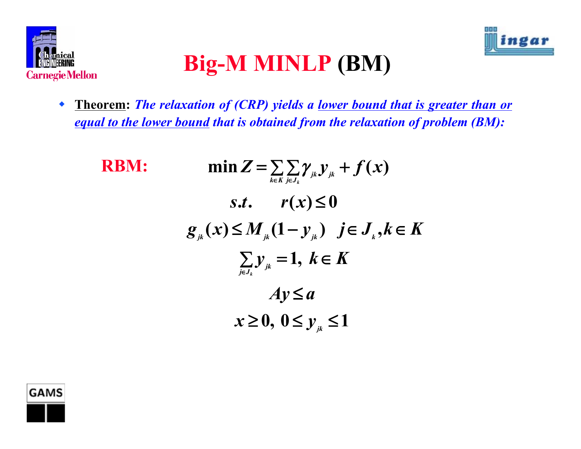



# **Big-M MINLP (BM)**

 $\blacklozenge$  **Theorem:** *The relaxation of (CRP) yields a lower bound that is greater than or equal to the lower bound that is obtained from the relaxation of problem (BM):*

RBM:  
\n
$$
\min Z = \sum_{k \in K} \sum_{j \in J_k} \gamma_{jk} y_{jk} + f(x)
$$
\n
$$
s.t. \quad r(x) \le 0
$$
\n
$$
g_{jk}(x) \le M_{jk} (1 - y_{jk}) \quad j \in J_k, k \in K
$$
\n
$$
\sum_{j \in J_k} y_{jk} = 1, \ k \in K
$$
\n
$$
Ay \le a
$$
\n
$$
x \ge 0, \ 0 \le y_{jk} \le 1
$$

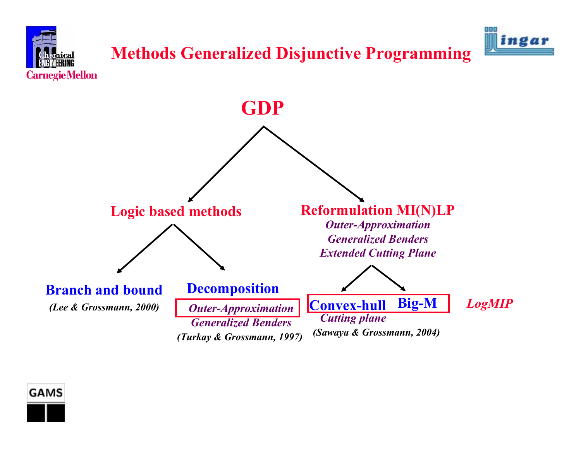

## **Methods Generalized Disjunctive Programming**





**GAMS**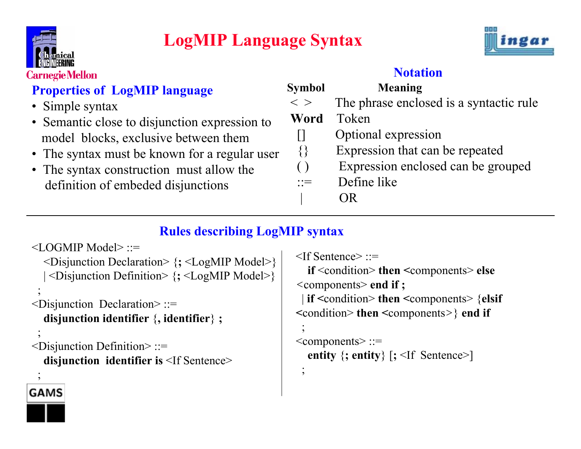

**GAMS** 

### **LogMIP Language Syntax**



### **Carnegie Mellon**

### **Properties of LogMIP language**

- Simple syntax
- Semantic close to disjunction expression to model blocks, exclusive between them
- The syntax must be known for a regular user
- The syntax construction must allow the definition of embeded disjunctions

### **Notation**

| <b>Symbol</b> | <b>Meaning</b>                          |
|---------------|-----------------------------------------|
| $\langle$ >   | The phrase enclosed is a syntactic rule |
| Word          | Token                                   |
| $\mathbf{H}$  | Optional expression                     |
| $\{ \}$       | Expression that can be repeated         |
| ( )           | Expression enclosed can be grouped      |
|               | Dafina lika                             |

- ::= Define like
	- | OR

### **Rules describing LogMIP syntax**

```
\leqLOGMIP Model\geq::=
  <Disjunction Declaration> {; <LogMIP Model>}
   | <Disjunction Definitio
n> {; <LogMIP Model>}
 ;
<Disjunction Declaration> ::=
  disjunction ide
n
tifier {, identifier} ;
 ;
<Disjunction Definition> ::=
  disjunction identifier is <If Sentence> 
 ;
```

```
\leqIf Sentence> ::=
```
;

```
if <condition> then <components> else
<components> end if ;
```

```
| if <condition> the
n <components> {elsif
<condition> then <components
>} end if
```

```
;
<components> ::=
  entity {; entity} [; <If Sentence>]
```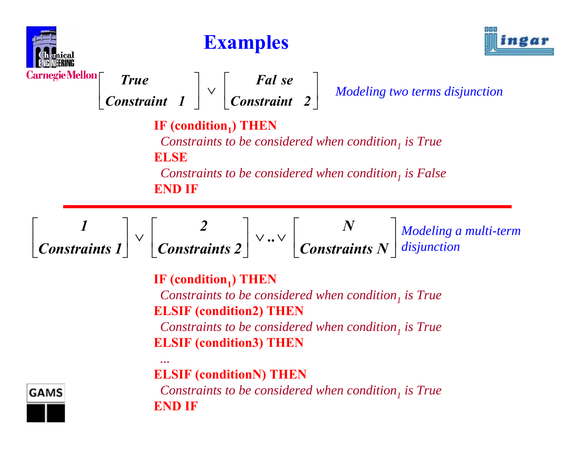

## **Examples**



 $\begin{array}{c} \textbf{CarnegieMellon} \ \end{array}$   $\begin{array}{c} \begin{bmatrix} \textbf{True} \\ \textbf{Constraint} \end{bmatrix} \ \end{array} \times \begin{bmatrix} \textbf{False} \\ \textbf{Constraint} \end{bmatrix}$   $\begin{array}{c} \textbf{Noting two terms disjunction} \end{array}$ 

### **IF (condition,) THEN**

 $Constants$  *to be considered when condition<sub>1</sub> is True* **ELSE**

 $Constants$  *to be considered when condition<sub>1</sub> is False* **END IF**



 $Constants$  *to be considered when condition<sub>1</sub> is True* **ELSIF (condition2) THEN**

 $Constants$  *to be considered when condition<sub>1</sub> is True* **ELSIF (condition3) THEN**

**ELSIF (conditionN) THEN**

*...*

*Constraints to be considered when condition1 is True* **END IF**



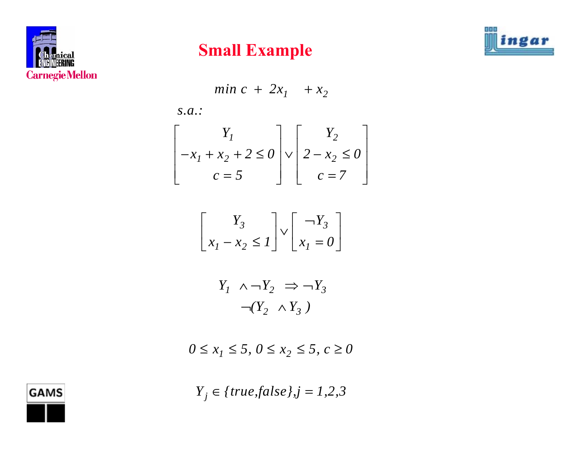

### **Small Example**



$$
min\ c\ +\ 2x_1\ +x_2
$$

*s.a.:* 

$$
\begin{bmatrix} Y_1 \\ -x_1 + x_2 + 2 \le 0 \\ c = 5 \end{bmatrix} \vee \begin{bmatrix} Y_2 \\ 2 - x_2 \le 0 \\ c = 7 \end{bmatrix}
$$

$$
\begin{bmatrix} Y_3 \\ x_1 - x_2 \le I \end{bmatrix} \vee \begin{bmatrix} \neg Y_3 \\ x_1 = 0 \end{bmatrix}
$$

$$
Y_1 \land \neg Y_2 \Rightarrow \neg Y_3
$$

$$
\neg (Y_2 \land Y_3)
$$

$$
0\leq x_1\leq 5,\: 0\leq x_2\leq 5,\: c\geq 0
$$

$$
Y_j \in \{true, false\}, j = 1, 2, 3
$$

**GAMS**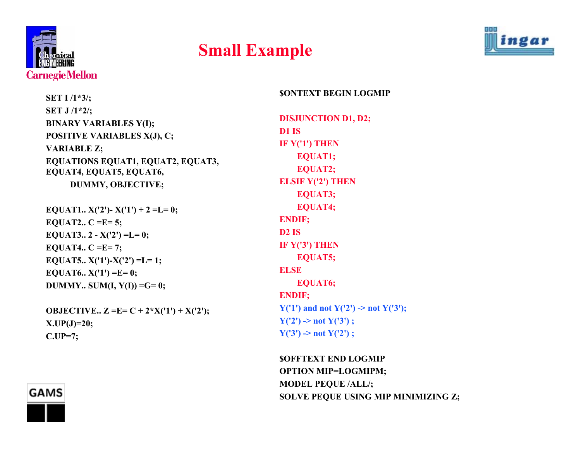

### **Small Example**



**SET I /1\*3/; SET J /1\*2/; BINARY VARIABLES Y(I); POSITIVE VARIABLES X(J), C; VARIABLE Z; EQUATIONS EQUAT1, EQUAT2, EQUAT3, EQUAT4, EQUAT5, EQUAT6, DUMMY, OBJECTIVE;**

**EQUAT1..**  $X('2') - X('1') + 2 = L = 0$ ; **EQUAT2.. C =E= 5; EQUAT3.. 2 - X('2') =L= 0; EQUAT4.. C =E= 7; EQUAT5.. X('1')-X('2') =L= 1; EQUAT6.. X('1') =E= 0; DUMMY.. SUM(I, Y(I)) =G= 0;**

**OBJECTIVE.. Z =E= C + 2\*X('1') + X('2'); X.UP(J)=20; C.UP=7;**



#### **\$ONTEXT BEGIN LOGMIP**

**DISJUNCTION D1, D2; D1 ISIF Y('1') THEN EQUAT1; EQUAT2; ELSIF Y('2') THEN EQUAT3; EQUAT4; ENDIF; D2 ISIF Y('3') THEN EQUAT5; ELSEEQUAT6; ENDIF; Y('1') and not Y('2') -> not Y('3');**  $Y('2') \rightarrow not Y('3');$ **Y('3') -> not Y('2') ;**

**\$OFFTEXT END LOGMIP OPTION MIP=LOGMIPM; MODEL PEQUE /ALL/; SOLVE PEQUE USING MIP MINIMIZING Z;**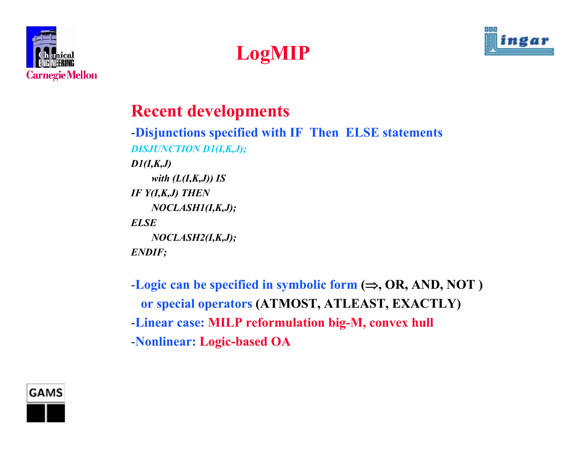





**Recent developments** -**Disjunctions specified with IF Then ELSE statements** *DISJUNCTION D1(I,K,J); D1(I,K,J) with (L(I,K,J)) IS IF Y(I,K,J) THEN NOCLASH1(I,K,J); ELSENOCLASH2(I,K,J); ENDIF;*

-**Logic can be specified in symbolic form (**<sup>⇒</sup>**, OR, AND, NOT ) or special operators (ATMOST, ATLEAST, EXACTLY)** -**Linear case: MILP reformulation big-M, convex hull** -**Nonlinear: Logic-based OA**

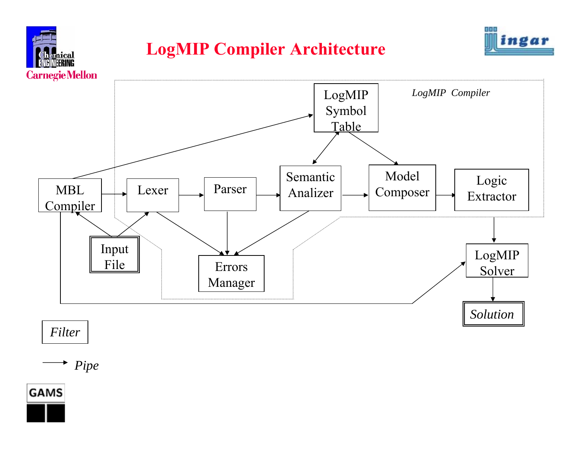

do

### *Filter*

### *Pipe*

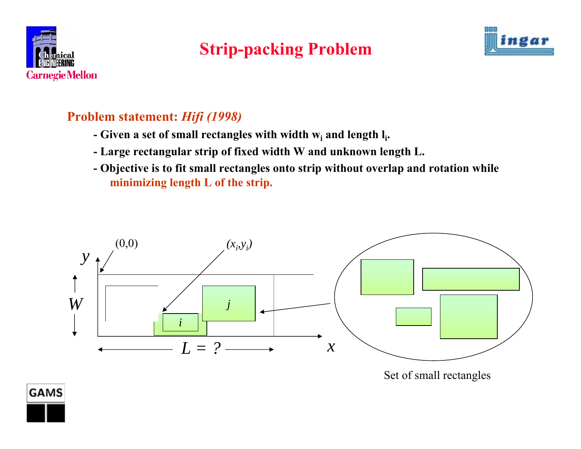

## **Strip-packing Problem**



### **Problem statement:** *Hifi (1998)*

- Given a set of small rectangles with width **w<sub>i</sub> and length** l<sub>i</sub>.
- **- Large rectangular strip of fixed width W and unknown length L.**
- **- Objective is to fit small rectangles onto strip without overlap and rotation while minimizing length L of the strip.**





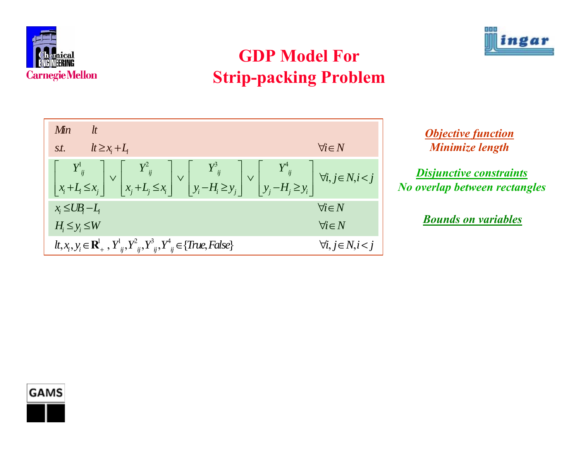

**GDP Model ForStrip-packing Problem**





*Objective function Minimize length*

*Disjunctive constraints No overlap between rectangles*

*Bounds on variables*

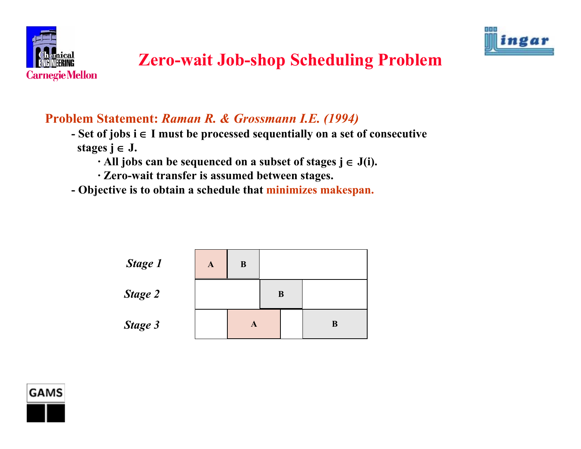



## **Zero-wait Job-shop Scheduling Problem**

### **Problem Statement:** *Raman R. & Grossmann I.E. (1994)*

- **- Set of jobs i**  ∈ **I must be processed sequentially on a set of consecutive stages j**  ∈ **J.**
	- **· All jobs can be sequenced on a subset of stages j**  ∈ **J(i).**
	- **· Zero-wait transfer is assumed between stages.**
- **- Objective is to obtain a schedule that minimizes makespan.**



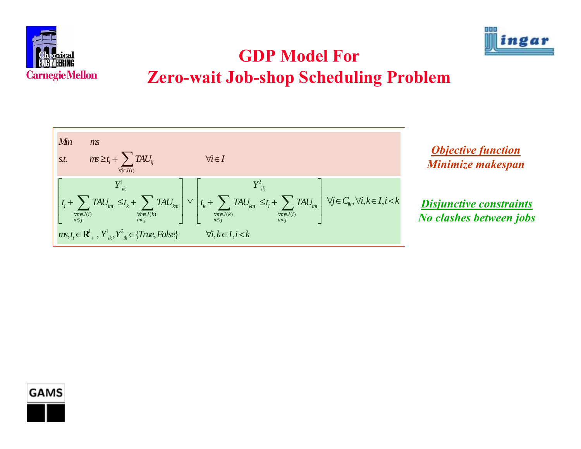



## **GDP Model For Zero-wait Job-shop Scheduling Problem**



*Objective function Minimize makespan*

*Disjunctive constraints No clashes between jobs*

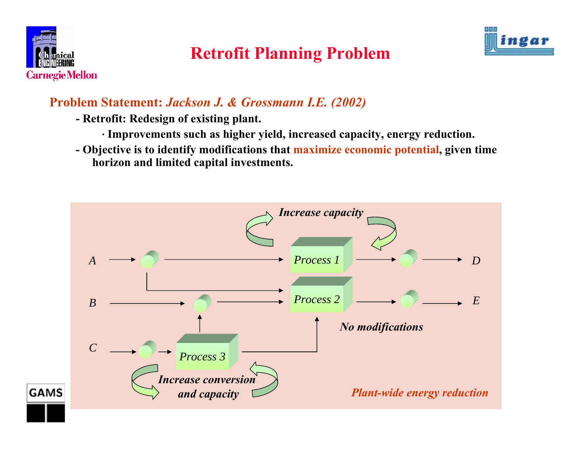

### **Retrofit Planning Problem**



### **Problem Statement:** *Jackson J. & Grossmann I.E. (2002)*

- **- Retrofit: Redesign of existing plant.**
	- **· Improvements such as higher yield, increased cap acity, energy red u ction.**
- **- Objective is to identify modifications that maximize economic potential, given time horizon and limited capital investments.**

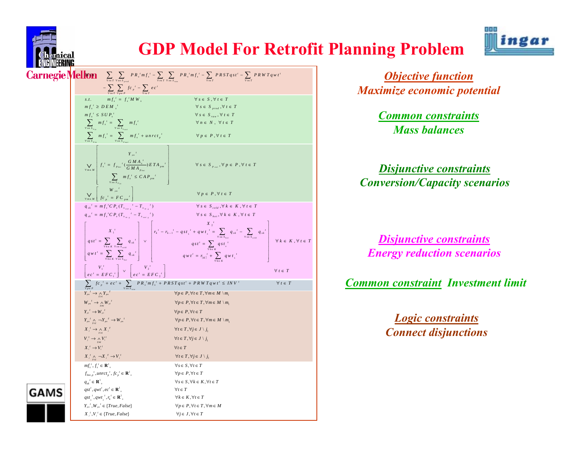

Car

GA

### **GDP Model For Retrofit Planning Problem**



| <u>y Giyy</u> cannya |                                                                                                                                                                                                                                  |                                                                                                                                                                                                                                                                                                                                                                                                                      |
|----------------------|----------------------------------------------------------------------------------------------------------------------------------------------------------------------------------------------------------------------------------|----------------------------------------------------------------------------------------------------------------------------------------------------------------------------------------------------------------------------------------------------------------------------------------------------------------------------------------------------------------------------------------------------------------------|
|                      |                                                                                                                                                                                                                                  | <b>negie Mellon</b> $\sum_{\forall i \in T} \sum_{\forall s \in S_{\text{max}}} P_{R_i}{}^t m f_s{}^t - \sum_{\forall t \in T} \sum_{\forall s \in S_{\text{max}}} P_{R_i}{}^t m f_s{}^t - \sum_{\forall t \in T} P_{R} S T q s t^t - \sum_{\forall t \in T} P_{R} W T q w t^t$                                                                                                                                      |
|                      |                                                                                                                                                                                                                                  |                                                                                                                                                                                                                                                                                                                                                                                                                      |
|                      | $- \sum_{n=1}^{\infty} \sum_{n=1}^{\infty} f c_n^{\ t} - \sum_{n=1}^{\infty} e c^n$                                                                                                                                              |                                                                                                                                                                                                                                                                                                                                                                                                                      |
|                      | $mf_{x}^{t} = f_{x}^{t} M W_{x}$<br>S.t.                                                                                                                                                                                         | $\forall s \in S, \forall t \in T$                                                                                                                                                                                                                                                                                                                                                                                   |
|                      | $mf' \geq DEM'$<br>$mf_{s}^{\ t} \leq SUP_{s}^{\ t}$                                                                                                                                                                             | $\forall s \in S$ <sub>prod</sub> , $\forall t \in T$<br>$\forall s \in S_{raw}, \forall t \in T$                                                                                                                                                                                                                                                                                                                    |
|                      | $\sum_{\forall s \in S} m f_s^t = \sum_{\forall s \in S} m f_s^t$                                                                                                                                                                | $\forall n \in N, \forall t \in T$                                                                                                                                                                                                                                                                                                                                                                                   |
|                      |                                                                                                                                                                                                                                  |                                                                                                                                                                                                                                                                                                                                                                                                                      |
|                      | $\sum_{\forall s \in S_{p_{in}}} m f_s^t = \sum_{\forall s \in S_{p_{out}}} m f_s^t + u n r c t_p^t$                                                                                                                             | $\forall p \in P, \forall t \in T$                                                                                                                                                                                                                                                                                                                                                                                   |
|                      |                                                                                                                                                                                                                                  |                                                                                                                                                                                                                                                                                                                                                                                                                      |
|                      |                                                                                                                                                                                                                                  |                                                                                                                                                                                                                                                                                                                                                                                                                      |
|                      | $\bigvee_{\forall m \in M} \left  \ f_s^{t} \ = \ f_{_{p_{l m i}}}{}^{t} \big( \frac{G \, M \, A_s^{_{t}}}{G \, M \, A_{_{p_{l m i}}}} \big) E \, T A_{_{p m}}{}^{t}$                                                            | $\forall s \in S_{p_{out}}, \forall p \in P, \forall t \in T$                                                                                                                                                                                                                                                                                                                                                        |
|                      | $\bigg  \sum_{\forall s \in S_{p_{in}}} mf_s^t \leq CAP_{pm}^{t}$                                                                                                                                                                |                                                                                                                                                                                                                                                                                                                                                                                                                      |
|                      |                                                                                                                                                                                                                                  |                                                                                                                                                                                                                                                                                                                                                                                                                      |
|                      | $\bigvee_{\forall m \in M} \left[ \begin{array}{c} W_{p_m} \\ f c_p^t = F C_{p_m}^t \end{array} \right]$                                                                                                                         | $\forall p \in P, \forall t \in T$                                                                                                                                                                                                                                                                                                                                                                                   |
|                      | $q_{sk}^{t} = mf_{s}^{t}CP_{s}(T_{s_{out_{k}}}^{t} - T_{s_{in_{k}}}^{t})$                                                                                                                                                        | $\forall s \in S_{cold}, \forall k \in K, \forall t \in T$                                                                                                                                                                                                                                                                                                                                                           |
|                      | $q_{sk}^{t} = mf_{s}^{t}CP_{s}(T_{s_{ik}}^{t} - T_{s_{out}}^{t})$                                                                                                                                                                | $\forall s \in S_{hot}, \forall k \in K, \forall t \in T$                                                                                                                                                                                                                                                                                                                                                            |
|                      |                                                                                                                                                                                                                                  | $\left[ \; q_{s t'}^{i} = \sum_{\forall_{k \in K}} \sum_{\forall_{s \in S_{cut}}} q_{s k}^{i} \; \right] \; \vee \; \left[ \; r_{k}{}^{i} - r_{k-1}{}^{i} - q_{s t}{}_{k}{}^{i} + q_{w \, t}{}_{k}{}^{i} = \sum_{\forall_{s \in S_{int}}} q_{s k}{}^{i} - \sum_{\forall_{s \in S_{cut}}} q_{s k}{}^{i} \; \right] \\ q_{s t}^{i} = \sum_{\forall_{k \in K}} \sum_{\forall_{s \in S_{cut}}} q_{s k}{}^{i} \; \right]$ |
|                      |                                                                                                                                                                                                                                  |                                                                                                                                                                                                                                                                                                                                                                                                                      |
|                      |                                                                                                                                                                                                                                  | $\forall k \in K, \forall t \in T$                                                                                                                                                                                                                                                                                                                                                                                   |
|                      |                                                                                                                                                                                                                                  |                                                                                                                                                                                                                                                                                                                                                                                                                      |
|                      |                                                                                                                                                                                                                                  |                                                                                                                                                                                                                                                                                                                                                                                                                      |
|                      | $\begin{vmatrix} V_1^t & V_2^t \\ e c^t = E F C_1^t \end{vmatrix}$ $\vee$ $\begin{vmatrix} V_2^t & V_2^t \\ e c^t = E F C_2^t \end{vmatrix}$                                                                                     | $\forall t \in T$                                                                                                                                                                                                                                                                                                                                                                                                    |
|                      |                                                                                                                                                                                                                                  | $\forall t \in T$                                                                                                                                                                                                                                                                                                                                                                                                    |
|                      | $\sum_{\forall s \in P} f c_{p} ' + e c' + \sum_{\forall s \in S_{\text{new}}} P R_{s} ' m f_{s} ' + P R S T q s t' + P R W T q w t' \leq IN V'$                                                                                 | $\forall p \in P, \forall t \in T, \forall m \in M \setminus m_1$                                                                                                                                                                                                                                                                                                                                                    |
|                      | $Y_{\scriptscriptstyle{pm}}^{\qquad i} \rightarrow \bigwedge_{\scriptscriptstyle{m}} Y_{\scriptscriptstyle{pm}}^{\qquad i}$                                                                                                      | $\forall p \in P, \forall t \in T, \forall m \in M \setminus m_1$                                                                                                                                                                                                                                                                                                                                                    |
|                      | $W_{\scriptscriptstyle{pm}}^{\qquad t} \rightarrow \underset{\scriptscriptstyle{\tau \rightarrow t}}{\wedge} W_{\scriptscriptstyle{p1}}^{\qquad t}$<br>$Y_{p1}^{\ t} \to W_{p1}^{\ t}$                                           | $\forall p \in P, \forall t \in T$                                                                                                                                                                                                                                                                                                                                                                                   |
|                      | $Y_{\scriptscriptstyle{pm}}^{\scriptscriptstyle{t}} \underset{\scriptscriptstyle{\tau< t}}{\wedge} \neg Y_{\scriptscriptstyle{pm}}^{\scriptscriptstyle{\tau}} \rightarrow W_{\scriptscriptstyle{pm}}^{\scriptscriptstyle{\tau}}$ | $\forall p \in P, \forall t \in T, \forall m \in M \setminus m$                                                                                                                                                                                                                                                                                                                                                      |
|                      | $X_i' \rightarrow \underset{\tau \rightarrow i}{\wedge} X_i^{\tau}$                                                                                                                                                              | $\forall t \in T, \forall j \in J \setminus j_1$                                                                                                                                                                                                                                                                                                                                                                     |
|                      | $V_i' \rightarrow \Lambda V_i'$                                                                                                                                                                                                  | $\forall t \in T, \forall j \in J \setminus j_1$                                                                                                                                                                                                                                                                                                                                                                     |
|                      | $X_1' \rightarrow V_1'$                                                                                                                                                                                                          | $\forall t \in T$                                                                                                                                                                                                                                                                                                                                                                                                    |
|                      | $X_i' \underset{\tau < t}{\wedge} \neg X_i^{\tau} \rightarrow V_i'$                                                                                                                                                              | $\forall t \in T, \forall j \in J \setminus j_1$                                                                                                                                                                                                                                                                                                                                                                     |
|                      | $mf_i^t, f_i^t \in \mathbf{R}^1$                                                                                                                                                                                                 | $\forall s \in S, \forall t \in T$                                                                                                                                                                                                                                                                                                                                                                                   |
|                      | $f_{\textit{int},p}{}^{t},\textit{unrct}_p{}^{t},\textit{fc}_p{}^{t} \in \mathbf{R}^1_+$                                                                                                                                         | $\forall p \in P, \forall t \in T$                                                                                                                                                                                                                                                                                                                                                                                   |
|                      | $q_{\mu}^{\phantom{\mu} \prime} \in \mathbf{R}^1_{\phantom{1} \mu}$                                                                                                                                                              | $\forall s \in S, \forall k \in K, \forall t \in T$                                                                                                                                                                                                                                                                                                                                                                  |
|                      | $qst^t, qwt^t, ec^t \in \mathbf{R}^1$                                                                                                                                                                                            | $\forall t \in T$                                                                                                                                                                                                                                                                                                                                                                                                    |
| ۱MS                  | $qst'$ , $qwt'$ , $r_i' \in \mathbf{R}^1$                                                                                                                                                                                        | $\forall k \in K, \forall t \in T$                                                                                                                                                                                                                                                                                                                                                                                   |
|                      | $Y_{\scriptscriptstyle{pm}}^{\scriptscriptstyle{i}}$ , $W_{\scriptscriptstyle{pm}}^{\scriptscriptstyle{i}} \in \{True, False\}$                                                                                                  | $\forall p \in P, \forall t \in T, \forall m \in M$                                                                                                                                                                                                                                                                                                                                                                  |
|                      | $X^{\prime}, V^{\prime} \in \{True, False\}$                                                                                                                                                                                     | $\forall j \in J, \forall t \in T$                                                                                                                                                                                                                                                                                                                                                                                   |

*Objective function Maximize economic potential*

> *Common constraints Mass balances*

*Disjunctive constraints Conversion/Capacity scenarios*

*Disjunctive constraints Energy r eduction scenarios*

*Common constraint Investment limit*

*Logic constraints Connect disjunctions*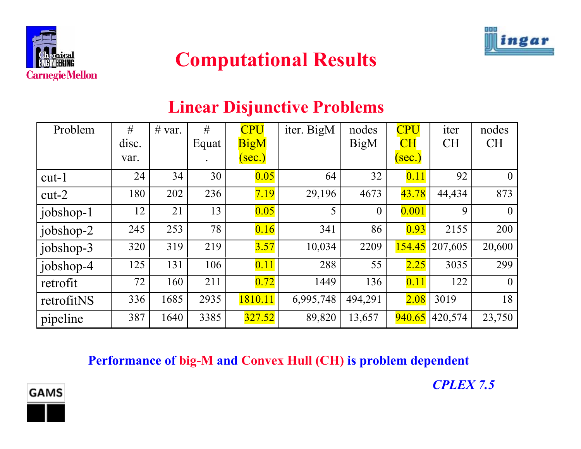



## **Computational Results**

### **Linear Disjunctive Problems**

| Problem    | #     | # var. | #     | <b>CPU</b>  | iter. BigM | nodes          | <b>CPU</b> | iter      | nodes     |
|------------|-------|--------|-------|-------------|------------|----------------|------------|-----------|-----------|
|            | disc. |        | Equat | <b>BigM</b> |            | <b>BigM</b>    | CH         | <b>CH</b> | <b>CH</b> |
|            | var.  |        |       | (sec.)      |            |                | (sec.)     |           |           |
| $cut-1$    | 24    | 34     | 30    | 0.05        | 64         | 32             | 0.11       | 92        | $\theta$  |
| $cut-2$    | 180   | 202    | 236   | 7.19        | 29,196     | 4673           | 43.78      | 44,434    | 873       |
| jobshop-1  | 12    | 21     | 13    | 0.05        | 5          | $\overline{0}$ | 0.001      | 9         | $\theta$  |
| jobshop-2  | 245   | 253    | 78    | 0.16        | 341        | 86             | 0.93       | 2155      | 200       |
| jobshop-3  | 320   | 319    | 219   | 3.57        | 10,034     | 2209           | 154.45     | 207,605   | 20,600    |
| jobshop-4  | 125   | 131    | 106   | 0.11        | 288        | 55             | 2.25       | 3035      | 299       |
| retrofit   | 72    | 160    | 211   | 0.72        | 1449       | 136            | 0.11       | 122       | $\theta$  |
| retrofitNS | 336   | 1685   | 2935  | 1810.11     | 6,995,748  | 494,291        | 2.08       | 3019      | 18        |
| pipeline   | 387   | 1640   | 3385  | 327.52      | 89,820     | 13,657         | 940.65     | 420,574   | 23,750    |

### **Performance of big-M and Convex Hull (CH) is problem dependent**



*CPLEX 7.5*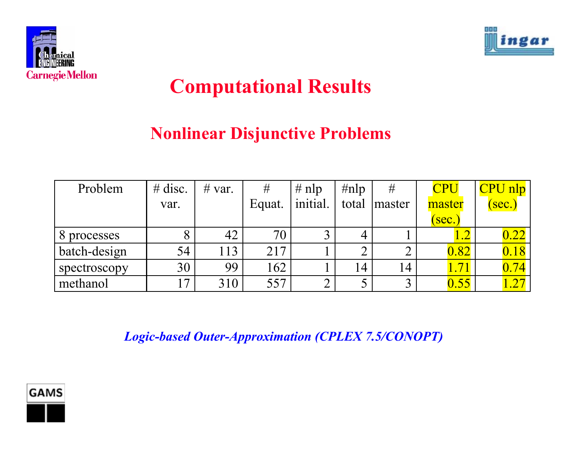



## **Computational Results**

### **Nonlinear Disjunctive Problems**

| Problem      | $#$ disc. | # var. | #      | $# \nln p$ | $\#nlp$ | #      | <b>CPU</b> | CPU nlp           |
|--------------|-----------|--------|--------|------------|---------|--------|------------|-------------------|
|              | var.      |        | Equat. | initial.   | total   | master | master     | $(\mathrm{sec.})$ |
|              |           |        |        |            |         |        | (sec.      |                   |
| 8 processes  |           | 42     | 70     |            |         |        |            | 0.22              |
| batch-design | 54        | 113    | 217    |            |         |        | 0.82       | 0.18              |
| spectroscopy | 30        | 99     | 162    |            | 14      | 14     | .71        | 0.74              |
| methanol     | 17        | 310    | 557    |            |         |        | 0.55       |                   |

*Logic-based Outer-Approximation (CPLEX 7.5/CONOPT)*